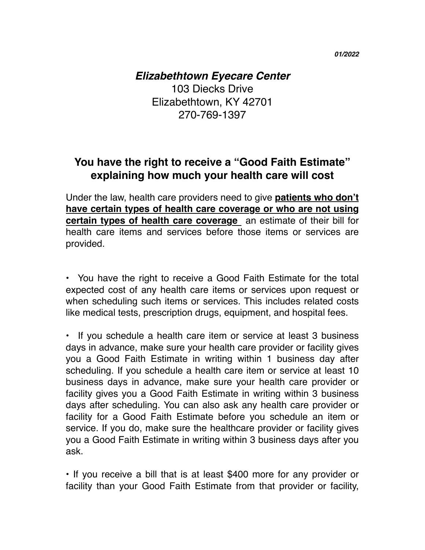*01/2022*

## *Elizabethtown Eyecare Center*

103 Diecks Drive Elizabethtown, KY 42701 270-769-1397

## **You have the right to receive a "Good Faith Estimate" explaining how much your health care will cost**

Under the law, health care providers need to give **patients who don't have certain types of health care coverage or who are not using certain types of health care coverage** an estimate of their bill for health care items and services before those items or services are provided.

• You have the right to receive a Good Faith Estimate for the total expected cost of any health care items or services upon request or when scheduling such items or services. This includes related costs like medical tests, prescription drugs, equipment, and hospital fees.

• If you schedule a health care item or service at least 3 business days in advance, make sure your health care provider or facility gives you a Good Faith Estimate in writing within 1 business day after scheduling. If you schedule a health care item or service at least 10 business days in advance, make sure your health care provider or facility gives you a Good Faith Estimate in writing within 3 business days after scheduling. You can also ask any health care provider or facility for a Good Faith Estimate before you schedule an item or service. If you do, make sure the healthcare provider or facility gives you a Good Faith Estimate in writing within 3 business days after you ask.

• If you receive a bill that is at least \$400 more for any provider or facility than your Good Faith Estimate from that provider or facility,